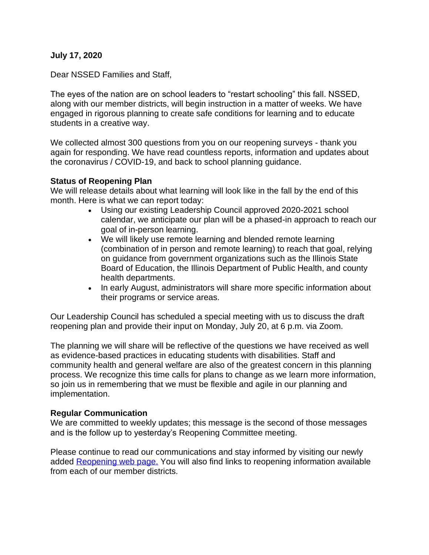## **July 17, 2020**

Dear NSSED Families and Staff,

The eyes of the nation are on school leaders to "restart schooling" this fall. NSSED, along with our member districts, will begin instruction in a matter of weeks. We have engaged in rigorous planning to create safe conditions for learning and to educate students in a creative way.

We collected almost 300 questions from you on our reopening surveys - thank you again for responding. We have read countless reports, information and updates about the coronavirus / COVID-19, and back to school planning guidance.

## **Status of Reopening Plan**

We will release details about what learning will look like in the fall by the end of this month. Here is what we can report today:

- Using our existing Leadership Council approved 2020-2021 school calendar, we anticipate our plan will be a phased-in approach to reach our goal of in-person learning.
- We will likely use remote learning and blended remote learning (combination of in person and remote learning) to reach that goal, relying on guidance from government organizations such as the Illinois State Board of Education, the Illinois Department of Public Health, and county health departments.
- In early August, administrators will share more specific information about their programs or service areas.

Our Leadership Council has scheduled a special meeting with us to discuss the draft reopening plan and provide their input on Monday, July 20, at 6 p.m. via Zoom.

The planning we will share will be reflective of the questions we have received as well as evidence-based practices in educating students with disabilities. Staff and community health and general welfare are also of the greatest concern in this planning process. We recognize this time calls for plans to change as we learn more information, so join us in remembering that we must be flexible and agile in our planning and implementation.

## **Regular Communication**

We are committed to weekly updates; this message is the second of those messages and is the follow up to yesterday's Reopening Committee meeting.

Please continue to read our communications and stay informed by visiting our newly added [Reopening web page.](https://www.nssed.org/reopening) You will also find links to reopening information available from each of our member districts.